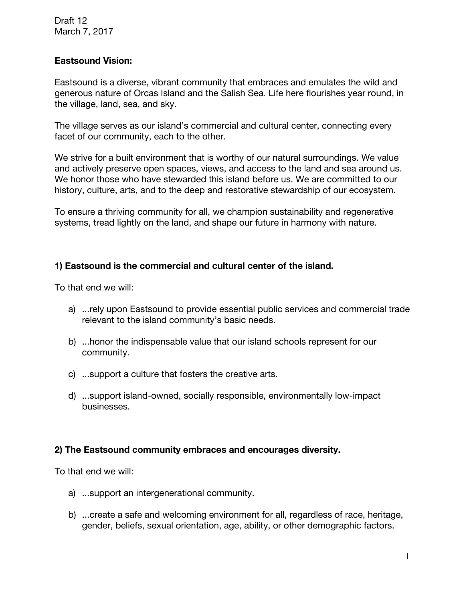Draft 12 March 7, 2017

## **Eastsound Vision:**

Eastsound is a diverse, vibrant community that embraces and emulates the wild and generous nature of Orcas Island and the Salish Sea. Life here flourishes year round, in the village, land, sea, and sky.

The village serves as our island's commercial and cultural center, connecting every facet of our community, each to the other.

We strive for a built environment that is worthy of our natural surroundings. We value and actively preserve open spaces, views, and access to the land and sea around us. We honor those who have stewarded this island before us. We are committed to our history, culture, arts, and to the deep and restorative stewardship of our ecosystem.

To ensure a thriving community for all, we champion sustainability and regenerative systems, tread lightly on the land, and shape our future in harmony with nature.

## **1) Eastsound is the commercial and cultural center of the island.**

To that end we will:

- a) ...rely upon Eastsound to provide essential public services and commercial trade relevant to the island community's basic needs.
- b) ...honor the indispensable value that our island schools represent for our community.
- c) ...support a culture that fosters the creative arts.
- d) ...support island-owned, socially responsible, environmentally low-impact businesses.

## **2) The Eastsound community embraces and encourages diversity.**

- a) ...support an intergenerational community.
- b) ...create a safe and welcoming environment for all, regardless of race, heritage, gender, beliefs, sexual orientation, age, ability, or other demographic factors.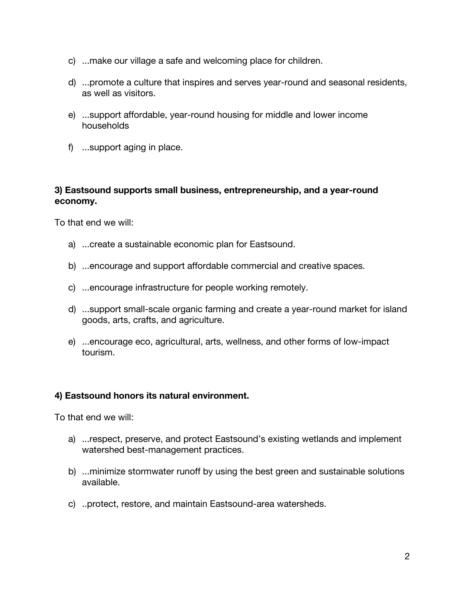- c) ...make our village a safe and welcoming place for children.
- d) ...promote a culture that inspires and serves year-round and seasonal residents, as well as visitors.
- e) ...support affordable, year-round housing for middle and lower income households
- f) ...support aging in place.

# **3) Eastsound supports small business, entrepreneurship, and a year-round economy.**

To that end we will:

- a) ...create a sustainable economic plan for Eastsound.
- b) ...encourage and support affordable commercial and creative spaces.
- c) ...encourage infrastructure for people working remotely.
- d) ...support small-scale organic farming and create a year-round market for island goods, arts, crafts, and agriculture.
- e) ...encourage eco, agricultural, arts, wellness, and other forms of low-impact tourism.

# **4) Eastsound honors its natural environment.**

- a) ...respect, preserve, and protect Eastsound's existing wetlands and implement watershed best-management practices.
- b) ...minimize stormwater runoff by using the best green and sustainable solutions available.
- c) ..protect, restore, and maintain Eastsound-area watersheds.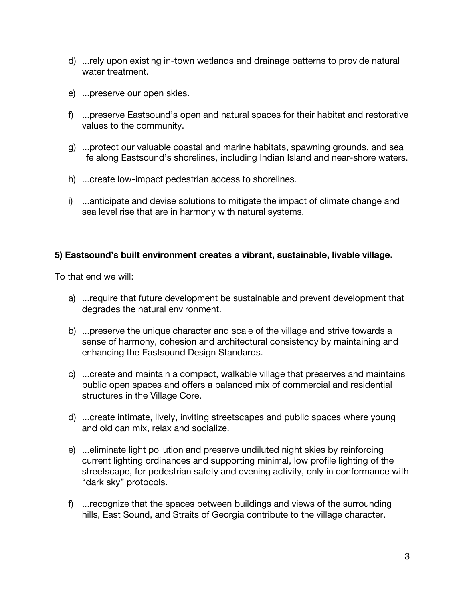- d) ...rely upon existing in-town wetlands and drainage patterns to provide natural water treatment.
- e) ...preserve our open skies.
- f) ...preserve Eastsound's open and natural spaces for their habitat and restorative values to the community.
- g) ...protect our valuable coastal and marine habitats, spawning grounds, and sea life along Eastsound's shorelines, including Indian Island and near-shore waters.
- h) ...create low-impact pedestrian access to shorelines.
- i) ...anticipate and devise solutions to mitigate the impact of climate change and sea level rise that are in harmony with natural systems.

## **5) Eastsound's built environment creates a vibrant, sustainable, livable village.**

- a) ...require that future development be sustainable and prevent development that degrades the natural environment.
- b) ...preserve the unique character and scale of the village and strive towards a sense of harmony, cohesion and architectural consistency by maintaining and enhancing the Eastsound Design Standards.
- c) ...create and maintain a compact, walkable village that preserves and maintains public open spaces and offers a balanced mix of commercial and residential structures in the Village Core.
- d) ...create intimate, lively, inviting streetscapes and public spaces where young and old can mix, relax and socialize.
- e) ...eliminate light pollution and preserve undiluted night skies by reinforcing current lighting ordinances and supporting minimal, low profile lighting of the streetscape, for pedestrian safety and evening activity, only in conformance with "dark sky" protocols.
- f) ...recognize that the spaces between buildings and views of the surrounding hills, East Sound, and Straits of Georgia contribute to the village character.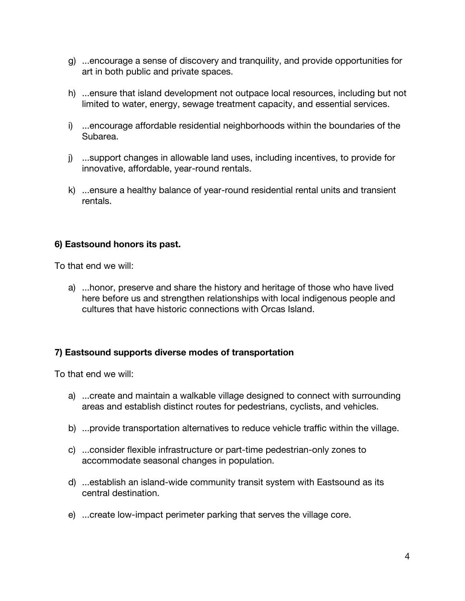- g) ...encourage a sense of discovery and tranquility, and provide opportunities for art in both public and private spaces.
- h) ...ensure that island development not outpace local resources, including but not limited to water, energy, sewage treatment capacity, and essential services.
- i) ...encourage affordable residential neighborhoods within the boundaries of the Subarea.
- j) ...support changes in allowable land uses, including incentives, to provide for innovative, affordable, year-round rentals.
- k) ...ensure a healthy balance of year-round residential rental units and transient rentals.

# **6) Eastsound honors its past.**

To that end we will:

a) ...honor, preserve and share the history and heritage of those who have lived here before us and strengthen relationships with local indigenous people and cultures that have historic connections with Orcas Island.

# **7) Eastsound supports diverse modes of transportation**

- a) ...create and maintain a walkable village designed to connect with surrounding areas and establish distinct routes for pedestrians, cyclists, and vehicles.
- b) ...provide transportation alternatives to reduce vehicle traffic within the village.
- c) ...consider flexible infrastructure or part-time pedestrian-only zones to accommodate seasonal changes in population.
- d) ...establish an island-wide community transit system with Eastsound as its central destination.
- e) ...create low-impact perimeter parking that serves the village core.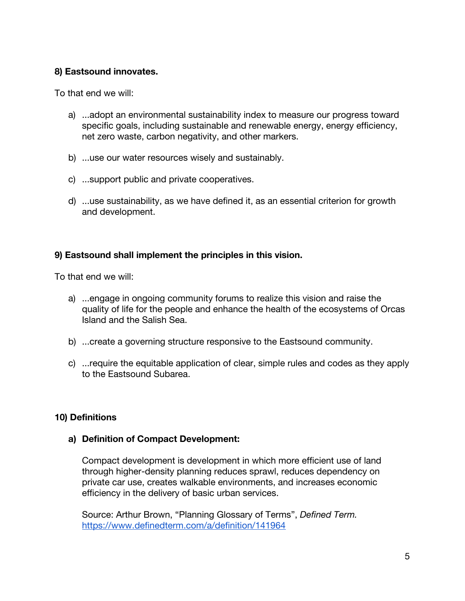# **8) Eastsound innovates.**

To that end we will:

- a) ...adopt an environmental sustainability index to measure our progress toward specific goals, including sustainable and renewable energy, energy efficiency, net zero waste, carbon negativity, and other markers.
- b) ...use our water resources wisely and sustainably.
- c) ...support public and private cooperatives.
- d) ...use sustainability, as we have defined it, as an essential criterion for growth and development.

# **9) Eastsound shall implement the principles in this vision.**

To that end we will:

- a) ...engage in ongoing community forums to realize this vision and raise the quality of life for the people and enhance the health of the ecosystems of Orcas Island and the Salish Sea.
- b) ...create a governing structure responsive to the Eastsound community.
- c) ...require the equitable application of clear, simple rules and codes as they apply to the Eastsound Subarea.

# **10) Definitions**

# **a) Definition of Compact Development:**

Compact development is development in which more efficient use of land through higher-density planning reduces sprawl, reduces dependency on private car use, creates walkable environments, and increases economic efficiency in the delivery of basic urban services.

Source: Arthur Brown, "Planning Glossary of Terms", *Defined Term.* <https://www.definedterm.com/a/definition/141964>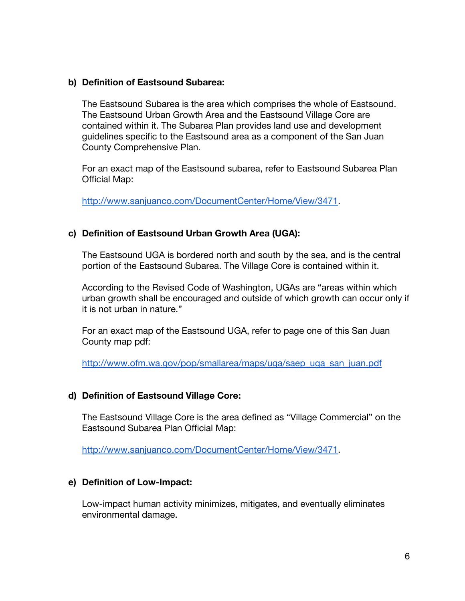#### **b) Definition of Eastsound Subarea:**

The Eastsound Subarea is the area which comprises the whole of Eastsound. The Eastsound Urban Growth Area and the Eastsound Village Core are contained within it. The Subarea Plan provides land use and development guidelines specific to the Eastsound area as a component of the San Juan County Comprehensive Plan.

For an exact map of the Eastsound subarea, refer to Eastsound Subarea Plan Official Map:

[http://www.sanjuanco.com/DocumentCenter/Home/View/3471.](http://www.sanjuanco.com/DocumentCenter/Home/View/3471)

## **c) Definition of Eastsound Urban Growth Area (UGA):**

The Eastsound UGA is bordered north and south by the sea, and is the central portion of the Eastsound Subarea. The Village Core is contained within it.

According to the Revised Code of Washington, UGAs are "areas within which urban growth shall be encouraged and outside of which growth can occur only if it is not urban in nature."

For an exact map of the Eastsound UGA, refer to page one of this San Juan County map pdf:

[http://www.ofm.wa.gov/pop/smallarea/maps/uga/saep\\_uga\\_san\\_juan.pdf](http://www.ofm.wa.gov/pop/smallarea/maps/uga/saep_uga_san_juan.pdf)

## **d) Definition of Eastsound Village Core:**

The Eastsound Village Core is the area defined as "Village Commercial" on the Eastsound Subarea Plan Official Map:

[http://www.sanjuanco.com/DocumentCenter/Home/View/3471.](http://www.sanjuanco.com/DocumentCenter/Home/View/3471)

## **e) Definition of Low-Impact:**

Low-impact human activity minimizes, mitigates, and eventually eliminates environmental damage.